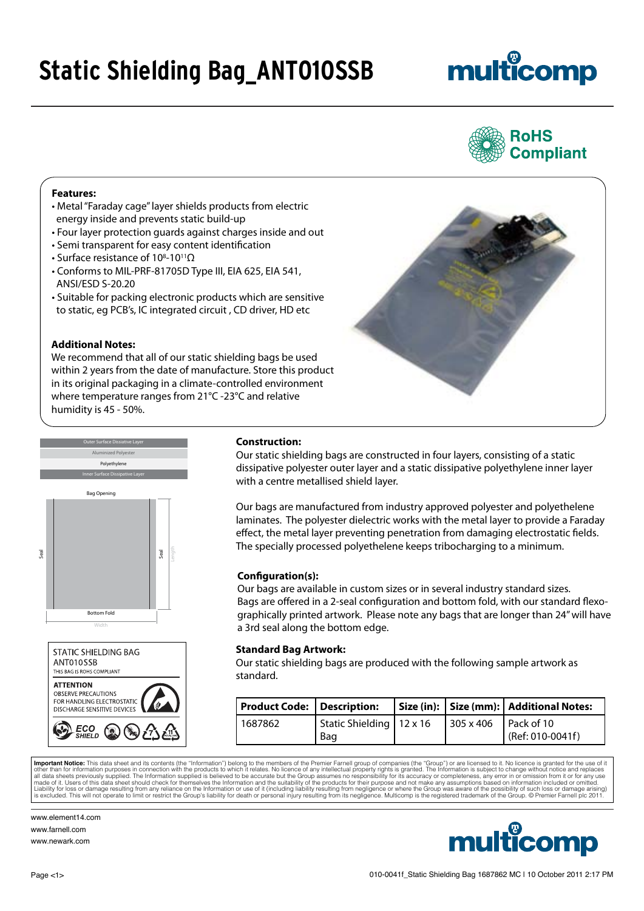### **Static Shielding Bag\_ANT010SSB**

# multicomp



#### **Features:**

- Metal "Faraday cage" layer shields products from electric energy inside and prevents static build-up
- Four layer protection guards against charges inside and out
- Semi transparent for easy content identification
- Surface resistance of 10<sup>8</sup>-10<sup>11</sup>Ω
- Conforms to MIL-PRF-81705D Type III, EIA 625, EIA 541, ANSI/ESD S-20.20
- Suitable for packing electronic products which are sensitive to static, eg PCB's, IC integrated circuit , CD driver, HD etc

#### **Additional Notes:**

We recommend that all of our static shielding bags be used within 2 years from the date of manufacture. Store this product in its original packaging in a climate-controlled environment where temperature ranges from 21°C -23°C and relative humidity is 45 - 50%.







#### **Construction:**

Our static shielding bags are constructed in four layers, consisting of a static dissipative polyester outer layer and a static dissipative polyethylene inner layer with a centre metallised shield layer.

Our bags are manufactured from industry approved polyester and polyethelene laminates. The polyester dielectric works with the metal layer to provide a Faraday effect, the metal layer preventing penetration from damaging electrostatic fields. The specially processed polyethelene keeps tribocharging to a minimum.

#### **Configuration(s):**

Our bags are available in custom sizes or in several industry standard sizes. Bags are offered in a 2-seal configuration and bottom fold, with our standard flexographically printed artwork. Please note any bags that are longer than 24" will have a 3rd seal along the bottom edge.

#### **Standard Bag Artwork:**

Our static shielding bags are produced with the following sample artwork as standard.

| Product Code: Description: |                            |                             | Size (in):   Size (mm):   Additional Notes: |
|----------------------------|----------------------------|-----------------------------|---------------------------------------------|
| 1687862                    | Static Shielding   12 x 16 | $305 \times 406$ Pack of 10 |                                             |
|                            | Bag                        |                             | $\frac{1}{2}$ (Ref: 010-0041f)              |

**Important Notice:** This data sheet and its contents (the "Information") belong to the members of the Premier Farnell group of companies (the "Group") or are licensed to it. No licence is granted for the use of it and the

www.element14.com www.farnell.com www.newark.com